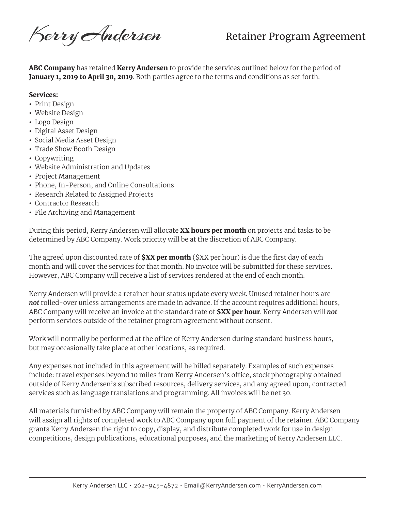Kerry Andersen

ABC Company has retained Kerry Andersen to provide the services outlined below for the period of January 1, 2019 to April 30, 2019. Both parties agree to the terms and conditions as set forth.

## Services:

- Print Design
- Website Design
- Logo Design
- Digital Asset Design
- Social Media Asset Design
- Trade Show Booth Design
- Copywriting
- Website Administration and Updates
- Project Management
- Phone, In-Person, and Online Consultations
- Research Related to Assigned Projects
- Contractor Research
- File Archiving and Management

During this period, Kerry Andersen will allocate XX hours per month on projects and tasks to be determined by ABC Company. Work priority will be at the discretion of ABC Company.

The agreed upon discounted rate of **\$XX per month** (\$XX per hour) is due the first day of each month and will cover the services for that month. No invoice will be submitted for these services. However, ABC Company will receive a list of services rendered at the end of each month.

Kerry Andersen will provide a retainer hour status update every week. Unused retainer hours are *not* rolled-over unless arrangements are made in advance. If the account requires additional hours, ABC Company will receive an invoice at the standard rate of \$XX per hour. Kerry Andersen will *not* perform services outside of the retainer program agreement without consent.

Work will normally be performed at the office of Kerry Andersen during standard business hours, but may occasionally take place at other locations, as required.

Any expenses not included in this agreement will be billed separately. Examples of such expenses include: travel expenses beyond 10 miles from Kerry Andersen's office, stock photography obtained outside of Kerry Andersen's subscribed resources, delivery services, and any agreed upon, contracted services such as language translations and programming. All invoices will be net 30.

All materials furnished by ABC Company will remain the property of ABC Company. Kerry Andersen will assign all rights of completed work to ABC Company upon full payment of the retainer. ABC Company grants Kerry Andersen the right to copy, display, and distribute completed work for use in design competitions, design publications, educational purposes, and the marketing of Kerry Andersen LLC.